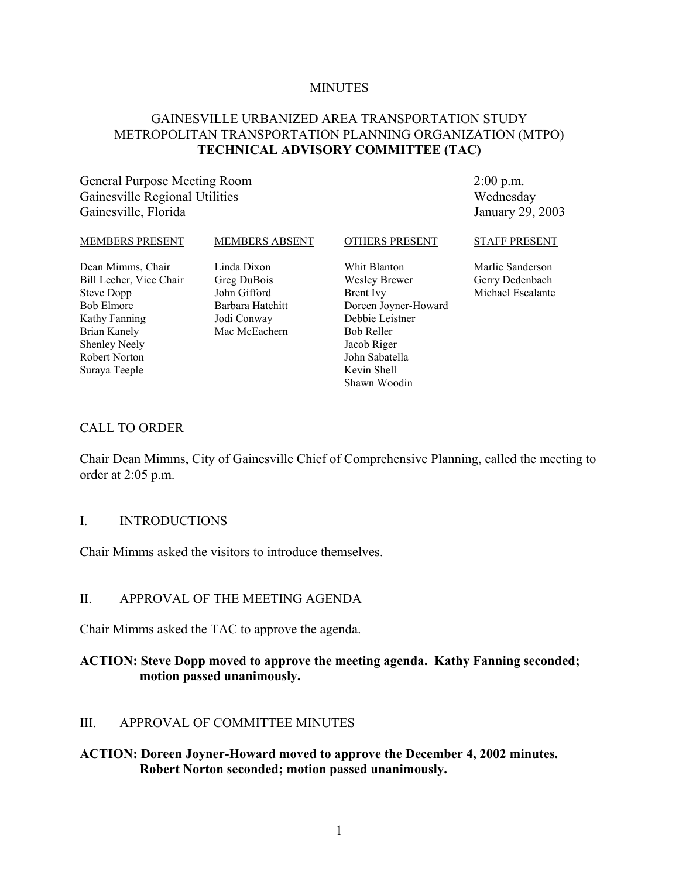#### **MINUTES**

#### GAINESVILLE URBANIZED AREA TRANSPORTATION STUDY METROPOLITAN TRANSPORTATION PLANNING ORGANIZATION (MTPO) **TECHNICAL ADVISORY COMMITTEE (TAC)**

General Purpose Meeting Room Gainesville Regional Utilities Gainesville, Florida

2:00 p.m. Wednesday January 29, 2003

| MEMBERS PRESENT                                                                                                                                                                   | <b>MEMBERS ABSENT</b>                                                                          | <b>OTHERS PRESENT</b>                                                                                                                                                             | <b>STAFF PRESENT</b>                                     |
|-----------------------------------------------------------------------------------------------------------------------------------------------------------------------------------|------------------------------------------------------------------------------------------------|-----------------------------------------------------------------------------------------------------------------------------------------------------------------------------------|----------------------------------------------------------|
| Dean Mimms, Chair<br>Bill Lecher, Vice Chair<br><b>Steve Dopp</b><br><b>Bob Elmore</b><br>Kathy Fanning<br>Brian Kanely<br><b>Shenley Neely</b><br>Robert Norton<br>Suraya Teeple | Linda Dixon<br>Greg DuBois<br>John Gifford<br>Barbara Hatchitt<br>Jodi Conway<br>Mac McEachern | Whit Blanton<br>Wesley Brewer<br><b>Brent</b> Ivy<br>Doreen Joyner-Howard<br>Debbie Leistner<br><b>Bob Reller</b><br>Jacob Riger<br>John Sabatella<br>Kevin Shell<br>Shawn Woodin | Marlie Sanderson<br>Gerry Dedenbach<br>Michael Escalante |
|                                                                                                                                                                                   |                                                                                                |                                                                                                                                                                                   |                                                          |

#### CALL TO ORDER

Chair Dean Mimms, City of Gainesville Chief of Comprehensive Planning, called the meeting to order at 2:05 p.m.

#### I. INTRODUCTIONS

Chair Mimms asked the visitors to introduce themselves.

#### II. APPROVAL OF THE MEETING AGENDA

Chair Mimms asked the TAC to approve the agenda.

#### **ACTION: Steve Dopp moved to approve the meeting agenda. Kathy Fanning seconded; motion passed unanimously.**

#### III. APPROVAL OF COMMITTEE MINUTES

#### **ACTION: Doreen Joyner-Howard moved to approve the December 4, 2002 minutes. Robert Norton seconded; motion passed unanimously.**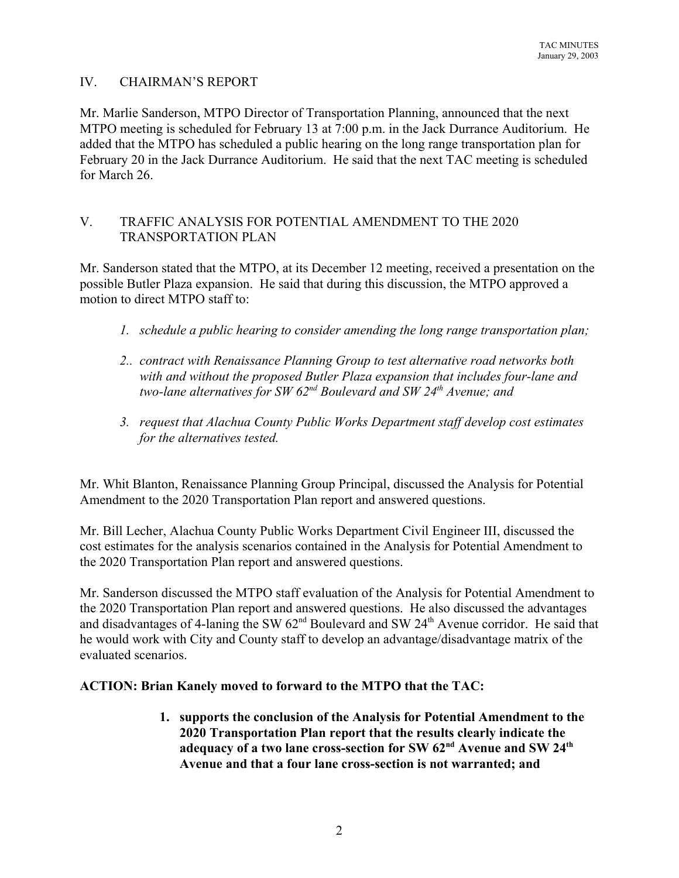# IV. CHAIRMAN'S REPORT

Mr. Marlie Sanderson, MTPO Director of Transportation Planning, announced that the next MTPO meeting is scheduled for February 13 at 7:00 p.m. in the Jack Durrance Auditorium. He added that the MTPO has scheduled a public hearing on the long range transportation plan for February 20 in the Jack Durrance Auditorium. He said that the next TAC meeting is scheduled for March 26.

# V. TRAFFIC ANALYSIS FOR POTENTIAL AMENDMENT TO THE 2020 TRANSPORTATION PLAN

Mr. Sanderson stated that the MTPO, at its December 12 meeting, received a presentation on the possible Butler Plaza expansion. He said that during this discussion, the MTPO approved a motion to direct MTPO staff to:

- *1. schedule a public hearing to consider amending the long range transportation plan;*
- *2.. contract with Renaissance Planning Group to test alternative road networks both with and without the proposed Butler Plaza expansion that includes four-lane and two-lane alternatives for SW 62nd Boulevard and SW 24th Avenue; and*
- *3. request that Alachua County Public Works Department staff develop cost estimates for the alternatives tested.*

Mr. Whit Blanton, Renaissance Planning Group Principal, discussed the Analysis for Potential Amendment to the 2020 Transportation Plan report and answered questions.

Mr. Bill Lecher, Alachua County Public Works Department Civil Engineer III, discussed the cost estimates for the analysis scenarios contained in the Analysis for Potential Amendment to the 2020 Transportation Plan report and answered questions.

Mr. Sanderson discussed the MTPO staff evaluation of the Analysis for Potential Amendment to the 2020 Transportation Plan report and answered questions. He also discussed the advantages and disadvantages of 4-laning the SW  $62<sup>nd</sup>$  Boulevard and SW  $24<sup>th</sup>$  Avenue corridor. He said that he would work with City and County staff to develop an advantage/disadvantage matrix of the evaluated scenarios.

# **ACTION: Brian Kanely moved to forward to the MTPO that the TAC:**

**1. supports the conclusion of the Analysis for Potential Amendment to the 2020 Transportation Plan report that the results clearly indicate the adequacy of a two lane cross-section for SW 62nd Avenue and SW 24th Avenue and that a four lane cross-section is not warranted; and**